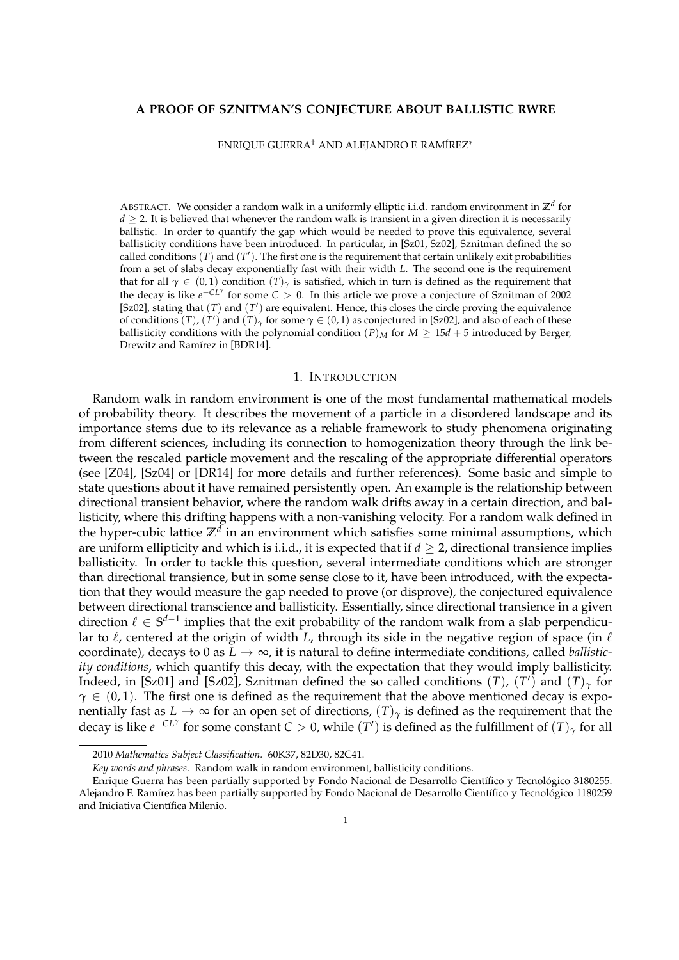# **A PROOF OF SZNITMAN'S CONJECTURE ABOUT BALLISTIC RWRE**

ENRIQUE GUERRA† AND ALEJANDRO F. RAMÍREZ<sup>∗</sup>

ABSTRACT. We consider a random walk in a uniformly elliptic i.i.d. random environment in **Z***<sup>d</sup>* for  $d \geq 2$ . It is believed that whenever the random walk is transient in a given direction it is necessarily ballistic. In order to quantify the gap which would be needed to prove this equivalence, several ballisticity conditions have been introduced. In particular, in [Sz01, Sz02], Sznitman defined the so called conditions  $(T)$  and  $(T')$ . The first one is the requirement that certain unlikely exit probabilities from a set of slabs decay exponentially fast with their width *L*. The second one is the requirement that for all  $\gamma \in (0,1)$  condition  $(T)_{\gamma}$  is satisfied, which in turn is defined as the requirement that the decay is like *e* −*CL<sup>γ</sup>* for some *C* > 0. In this article we prove a conjecture of Sznitman of 2002 [Sz02], stating that  $(T)$  and  $(T')$  are equivalent. Hence, this closes the circle proving the equivalence of conditions  $(T)$ ,  $(T')$  and  $(T)$ <sub> $\gamma$ </sub> for some  $\gamma \in (0,1)$  as conjectured in [Sz02], and also of each of these ballisticity conditions with the polynomial condition  $(P)_M$  for  $M \geq 15d + 5$  introduced by Berger, Drewitz and Ramírez in [BDR14].

### 1. INTRODUCTION

Random walk in random environment is one of the most fundamental mathematical models of probability theory. It describes the movement of a particle in a disordered landscape and its importance stems due to its relevance as a reliable framework to study phenomena originating from different sciences, including its connection to homogenization theory through the link between the rescaled particle movement and the rescaling of the appropriate differential operators (see [Z04], [Sz04] or [DR14] for more details and further references). Some basic and simple to state questions about it have remained persistently open. An example is the relationship between directional transient behavior, where the random walk drifts away in a certain direction, and ballisticity, where this drifting happens with a non-vanishing velocity. For a random walk defined in the hyper-cubic lattice **Z***<sup>d</sup>* in an environment which satisfies some minimal assumptions, which are uniform ellipticity and which is i.i.d., it is expected that if  $d > 2$ , directional transience implies ballisticity. In order to tackle this question, several intermediate conditions which are stronger than directional transience, but in some sense close to it, have been introduced, with the expectation that they would measure the gap needed to prove (or disprove), the conjectured equivalence between directional transcience and ballisticity. Essentially, since directional transience in a given direction  $\ell \in \mathbb{S}^{d-1}$  implies that the exit probability of the random walk from a slab perpendicular to  $\ell$ , centered at the origin of width *L*, through its side in the negative region of space (in  $\ell$ coordinate), decays to 0 as  $L \rightarrow \infty$ , it is natural to define intermediate conditions, called *ballisticity conditions*, which quantify this decay, with the expectation that they would imply ballisticity. Indeed, in [Sz01] and [Sz02], Sznitman defined the so called conditions  $(T)$ ,  $(T')$  and  $(T)_{\gamma}$  for  $\gamma \in (0,1)$ . The first one is defined as the requirement that the above mentioned decay is exponentially fast as  $L\to\infty$  for an open set of directions,  $(T)_\gamma$  is defined as the requirement that the decay is like  $e^{-CL\gamma}$  for some constant  $C>0$ , while  $(T')$  is defined as the fulfillment of  $(T)_{\gamma}$  for all

<sup>2010</sup> *Mathematics Subject Classification.* 60K37, 82D30, 82C41.

*Key words and phrases.* Random walk in random environment, ballisticity conditions.

Enrique Guerra has been partially supported by Fondo Nacional de Desarrollo Científico y Tecnológico 3180255. Alejandro F. Ramírez has been partially supported by Fondo Nacional de Desarrollo Científico y Tecnológico 1180259 and Iniciativa Científica Milenio.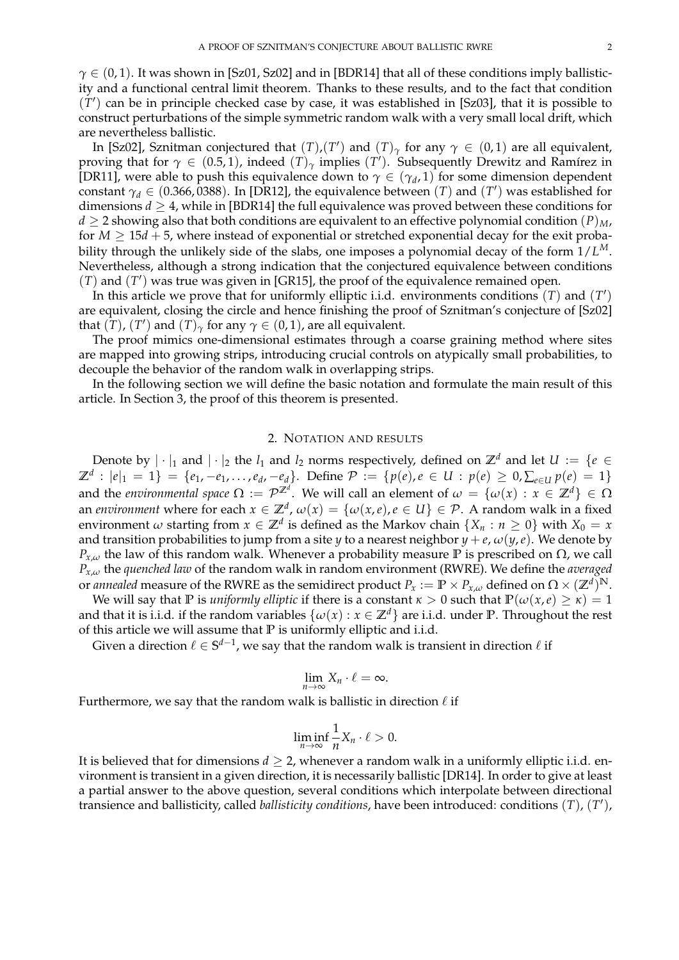$\gamma \in (0, 1)$ . It was shown in [Sz01, Sz02] and in [BDR14] that all of these conditions imply ballisticity and a functional central limit theorem. Thanks to these results, and to the fact that condition  $(T')$  can be in principle checked case by case, it was established in [Sz03], that it is possible to construct perturbations of the simple symmetric random walk with a very small local drift, which are nevertheless ballistic.

In [Sz02], Sznitman conjectured that  $(T)$ , $(T')$  and  $(T)$ <sub> $\gamma$ </sub> for any  $\gamma \in (0,1)$  are all equivalent, proving that for  $\gamma \in (0.5, 1)$ , indeed  $(T)_{\gamma}$  implies  $(T')$ . Subsequently Drewitz and Ramírez in [DR11], were able to push this equivalence down to  $\gamma \in (\gamma_d, 1)$  for some dimension dependent constant  $\gamma_d \in (0.366, 0388)$ . In [DR12], the equivalence between  $(T)$  and  $(T')$  was established for dimensions  $d > 4$ , while in [BDR14] the full equivalence was proved between these conditions for  $d \geq 2$  showing also that both conditions are equivalent to an effective polynomial condition  $(P)_{M}$ , for  $M \geq 15d + 5$ , where instead of exponential or stretched exponential decay for the exit probability through the unlikely side of the slabs, one imposes a polynomial decay of the form 1/*L M*. Nevertheless, although a strong indication that the conjectured equivalence between conditions  $(T)$  and  $(T')$  was true was given in [GR15], the proof of the equivalence remained open.

In this article we prove that for uniformly elliptic i.i.d. environments conditions  $(T)$  and  $(T')$ are equivalent, closing the circle and hence finishing the proof of Sznitman's conjecture of [Sz02] that  $(\tilde{T})$ ,  $(T')$  and  $(T)$ <sub> $\gamma$ </sub> for any  $\gamma \in (0,1)$ , are all equivalent.

The proof mimics one-dimensional estimates through a coarse graining method where sites are mapped into growing strips, introducing crucial controls on atypically small probabilities, to decouple the behavior of the random walk in overlapping strips.

In the following section we will define the basic notation and formulate the main result of this article. In Section 3, the proof of this theorem is presented.

## 2. NOTATION AND RESULTS

Denote by  $|\cdot|_1$  and  $|\cdot|_2$  the  $l_1$  and  $l_2$  norms respectively, defined on  $\mathbb{Z}^d$  and let  $U := \{e \in$  $\mathbb{Z}^d : |e|_1 = 1$ } = { $e_1, -e_1, \ldots, e_d, -e_d$ }. Define  $\mathcal{P} := \{p(e), e \in U : p(e) \geq 0, \sum_{e \in U} p(e) = 1\}$ and the *environmental space*  $\Omega := \mathcal{P}^{\mathbb{Z}^d}$ . We will call an element of  $\omega = \{\omega(x) : x \in \mathbb{Z}^d\} \in \Omega$ an *environment* where for each  $x \in \mathbb{Z}^d$ ,  $\omega(x) = \{\omega(x,e), e \in U\} \in \mathcal{P}$ . A random walk in a fixed environment  $\omega$  starting from  $x \in \mathbb{Z}^d$  is defined as the Markov chain  $\{X_n : n \geq 0\}$  with  $X_0 = x$ and transition probabilities to jump from a site *y* to a nearest neighbor  $y + e$ ,  $\omega(y, e)$ . We denote by *P*<sub>*x*,*ω*</sub> the law of this random walk. Whenever a probability measure **P** is prescribed on  $\Omega$ , we call *Px*,*<sup>ω</sup>* the *quenched law* of the random walk in random environment (RWRE). We define the *averaged* or annealed measure of the RWRE as the semidirect product  $P_x:=\mathbb{P}\times P_{x,\omega}$  defined on  $\Omega\times(\mathbb{Z}^d)^{\mathbb{N}}.$ 

We will say that **P** is *uniformly elliptic* if there is a constant  $\kappa > 0$  such that  $\mathbb{P}(\omega(x, e) \ge \kappa) = 1$ and that it is i.i.d. if the random variables  $\{\omega(x): x \in \mathbb{Z}^d\}$  are i.i.d. under **P**. Throughout the rest of this article we will assume that **P** is uniformly elliptic and i.i.d.

Given a direction  $\ell \in \mathbb{S}^{d-1}$ , we say that the random walk is transient in direction  $\ell$  if

$$
\lim_{n\to\infty}X_n\cdot\ell=\infty.
$$

Furthermore, we say that the random walk is ballistic in direction  $\ell$  if

$$
\liminf_{n\to\infty}\frac{1}{n}X_n\cdot\ell>0.
$$

It is believed that for dimensions  $d \geq 2$ , whenever a random walk in a uniformly elliptic i.i.d. environment is transient in a given direction, it is necessarily ballistic [DR14]. In order to give at least a partial answer to the above question, several conditions which interpolate between directional transience and ballisticity, called *ballisticity conditions*, have been introduced: conditions (*T*), (*T* 0 ),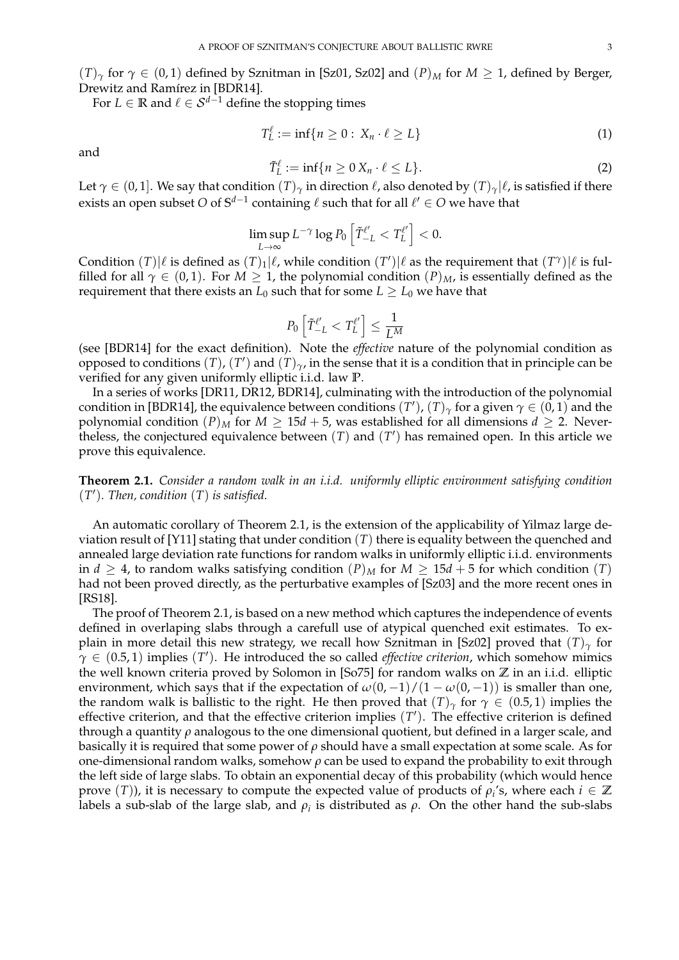$(T)$ <sup>*γ*</sup> for  $\gamma \in (0,1)$  defined by Sznitman in [Sz01, Sz02] and  $(P)_M$  for  $M \geq 1$ , defined by Berger, Drewitz and Ramírez in [BDR14].

For *L* ∈ **R** and  $\ell \in S^{d-1}$  define the stopping times

$$
T_L^{\ell} := \inf \{ n \ge 0 : X_n \cdot \ell \ge L \}
$$
 (1)

and

$$
\tilde{T}_L^{\ell} := \inf \{ n \ge 0 \, X_n \cdot \ell \le L \}. \tag{2}
$$

Let  $\gamma \in (0, 1]$ . We say that condition  $(T)_{\gamma}$  in direction  $\ell$ , also denoted by  $(T)_{\gamma} | \ell$ , is satisfied if there exists an open subset  $O$  of  $\mathbb{S}^{d-1}$  containing  $\ell$  such that for all  $\ell' \in O$  we have that

$$
\limsup_{L\to\infty} L^{-\gamma}\log P_0\left[\tilde{T}_{-L}^{\ell'} < T_L^{\ell'}\right] < 0.
$$

Condition  $(T)|\ell$  is defined as  $(T)_1|\ell$ , while condition  $(T')|\ell$  as the requirement that  $(T^{\gamma})|\ell$  is fulfilled for all  $\gamma \in (0,1)$ . For  $M \geq 1$ , the polynomial condition  $(P)_{M}$ , is essentially defined as the requirement that there exists an  $L_0$  such that for some  $L \ge L_0$  we have that

$$
P_0\left[\tilde{T}_{-L}^{\ell'} < T_L^{\ell'}\right] \leq \frac{1}{L^M}
$$

(see [BDR14] for the exact definition). Note the *effective* nature of the polynomial condition as opposed to conditions  $(T)$ ,  $(T')$  and  $(T)_{\gamma}$ , in the sense that it is a condition that in principle can be verified for any given uniformly elliptic i.i.d. law **P**.

In a series of works [DR11, DR12, BDR14], culminating with the introduction of the polynomial condition in [BDR14], the equivalence between conditions  $(T'),(T)_\gamma$  for a given  $\gamma\in(0,1)$  and the polynomial condition  $(P)_M$  for  $M \geq 15d + 5$ , was established for all dimensions  $d \geq 2$ . Nevertheless, the conjectured equivalence between  $(T)$  and  $(T')$  has remained open. In this article we prove this equivalence.

**Theorem 2.1.** *Consider a random walk in an i.i.d. uniformly elliptic environment satisfying condition*  $(T')$ . Then, condition  $(T)$  is satisfied.

An automatic corollary of Theorem 2.1, is the extension of the applicability of Yilmaz large deviation result of [Y11] stating that under condition (*T*) there is equality between the quenched and annealed large deviation rate functions for random walks in uniformly elliptic i.i.d. environments in *d*  $\geq$  4, to random walks satisfying condition  $(P)_M$  for  $M \geq 15d + 5$  for which condition  $(T)$ had not been proved directly, as the perturbative examples of [Sz03] and the more recent ones in [RS18].

The proof of Theorem 2.1, is based on a new method which captures the independence of events defined in overlaping slabs through a carefull use of atypical quenched exit estimates. To explain in more detail this new strategy, we recall how Sznitman in [Sz02] proved that  $(T)_{\gamma}$  for  $\hat{\gamma} \in (0.5, 1)$  implies  $(T')$ . He introduced the so called *effective criterion*, which somehow mimics the well known criteria proved by Solomon in [So75] for random walks on **Z** in an i.i.d. elliptic environment, which says that if the expectation of  $\omega(0, -1)/(1 - \omega(0, -1))$  is smaller than one, the random walk is ballistic to the right. He then proved that  $(T)$ <sub>*γ*</sub> for  $\gamma \in (0.5, 1)$  implies the effective criterion, and that the effective criterion implies  $(T')$ . The effective criterion is defined through a quantity *ρ* analogous to the one dimensional quotient, but defined in a larger scale, and basically it is required that some power of *ρ* should have a small expectation at some scale. As for one-dimensional random walks, somehow *ρ* can be used to expand the probability to exit through the left side of large slabs. To obtain an exponential decay of this probability (which would hence prove  $(T)$ ), it is necessary to compute the expected value of products of  $\rho_i$ 's, where each  $i \in \mathbb{Z}$ labels a sub-slab of the large slab, and  $\rho_i$  is distributed as  $\rho$ . On the other hand the sub-slabs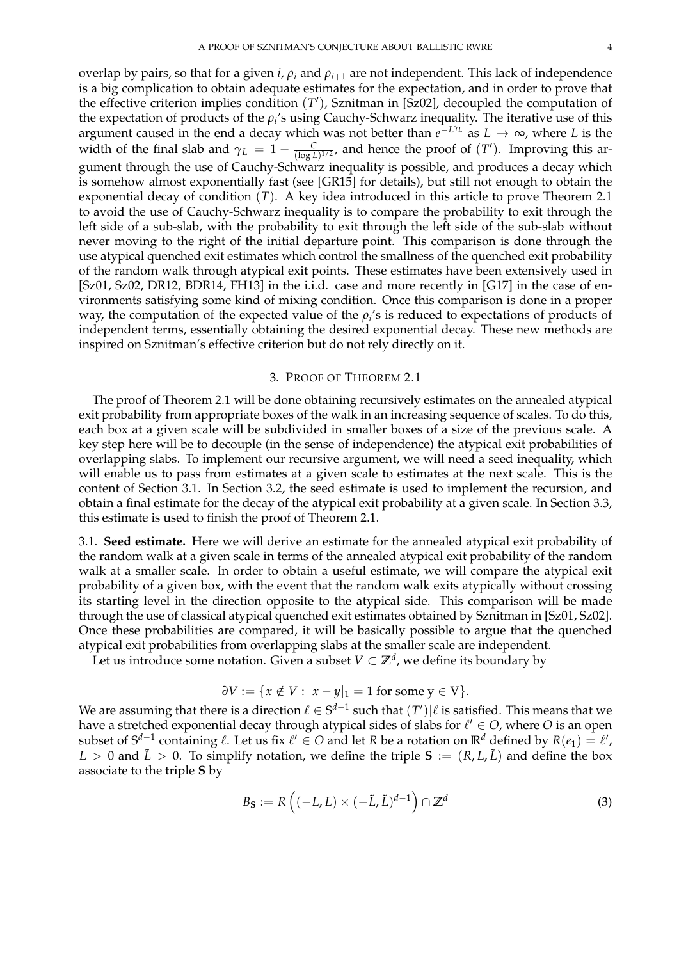overlap by pairs, so that for a given *i*, *ρ<sup>i</sup>* and *ρi*+<sup>1</sup> are not independent. This lack of independence is a big complication to obtain adequate estimates for the expectation, and in order to prove that the effective criterion implies condition (T'), Sznitman in [Sz02], decoupled the computation of the expectation of products of the  $\rho_i$ 's using Cauchy-Schwarz inequality. The iterative use of this argument caused in the end a decay which was not better than  $e^{-L^{\gamma_L}}$  as  $L\to\infty$ , where  $L$  is the width of the final slab and  $\gamma_L = 1 - \frac{C}{(\log L)^{1/2}}$ , and hence the proof of  $(T')$ . Improving this argument through the use of Cauchy-Schwarz inequality is possible, and produces a decay which is somehow almost exponentially fast (see [GR15] for details), but still not enough to obtain the exponential decay of condition (*T*). A key idea introduced in this article to prove Theorem 2.1 to avoid the use of Cauchy-Schwarz inequality is to compare the probability to exit through the left side of a sub-slab, with the probability to exit through the left side of the sub-slab without never moving to the right of the initial departure point. This comparison is done through the use atypical quenched exit estimates which control the smallness of the quenched exit probability of the random walk through atypical exit points. These estimates have been extensively used in [Sz01, Sz02, DR12, BDR14, FH13] in the i.i.d. case and more recently in [G17] in the case of environments satisfying some kind of mixing condition. Once this comparison is done in a proper way, the computation of the expected value of the  $\rho_i$ 's is reduced to expectations of products of independent terms, essentially obtaining the desired exponential decay. These new methods are inspired on Sznitman's effective criterion but do not rely directly on it.

### 3. PROOF OF THEOREM 2.1

The proof of Theorem 2.1 will be done obtaining recursively estimates on the annealed atypical exit probability from appropriate boxes of the walk in an increasing sequence of scales. To do this, each box at a given scale will be subdivided in smaller boxes of a size of the previous scale. A key step here will be to decouple (in the sense of independence) the atypical exit probabilities of overlapping slabs. To implement our recursive argument, we will need a seed inequality, which will enable us to pass from estimates at a given scale to estimates at the next scale. This is the content of Section 3.1. In Section 3.2, the seed estimate is used to implement the recursion, and obtain a final estimate for the decay of the atypical exit probability at a given scale. In Section 3.3, this estimate is used to finish the proof of Theorem 2.1.

3.1. **Seed estimate.** Here we will derive an estimate for the annealed atypical exit probability of the random walk at a given scale in terms of the annealed atypical exit probability of the random walk at a smaller scale. In order to obtain a useful estimate, we will compare the atypical exit probability of a given box, with the event that the random walk exits atypically without crossing its starting level in the direction opposite to the atypical side. This comparison will be made through the use of classical atypical quenched exit estimates obtained by Sznitman in [Sz01, Sz02]. Once these probabilities are compared, it will be basically possible to argue that the quenched atypical exit probabilities from overlapping slabs at the smaller scale are independent.

Let us introduce some notation. Given a subset  $V \subset \mathbb{Z}^d$  , we define its boundary by

$$
\partial V := \{ x \notin V : |x - y|_1 = 1 \text{ for some } y \in V \}.
$$

We are assuming that there is a direction  $\ell \in \mathbb{S}^{d-1}$  such that  $(T')|\ell$  is satisfied. This means that we have a stretched exponential decay through atypical sides of slabs for  $\ell' \in O$ , where  $O$  is an open subset of  $S^{d-1}$  containing  $\ell$ . Let us fix  $\ell' \in O$  and let  $R$  be a rotation on  $\mathbb{R}^d$  defined by  $R(e_1) = \ell',$  $L > 0$  and  $\tilde{L} > 0$ . To simplify notation, we define the triple **S** :=  $(R, L, \tilde{L})$  and define the box associate to the triple **S** by

$$
B_{\mathbf{S}} := R\left((-L, L) \times (-\tilde{L}, \tilde{L})^{d-1}\right) \cap \mathbb{Z}^{d}
$$
 (3)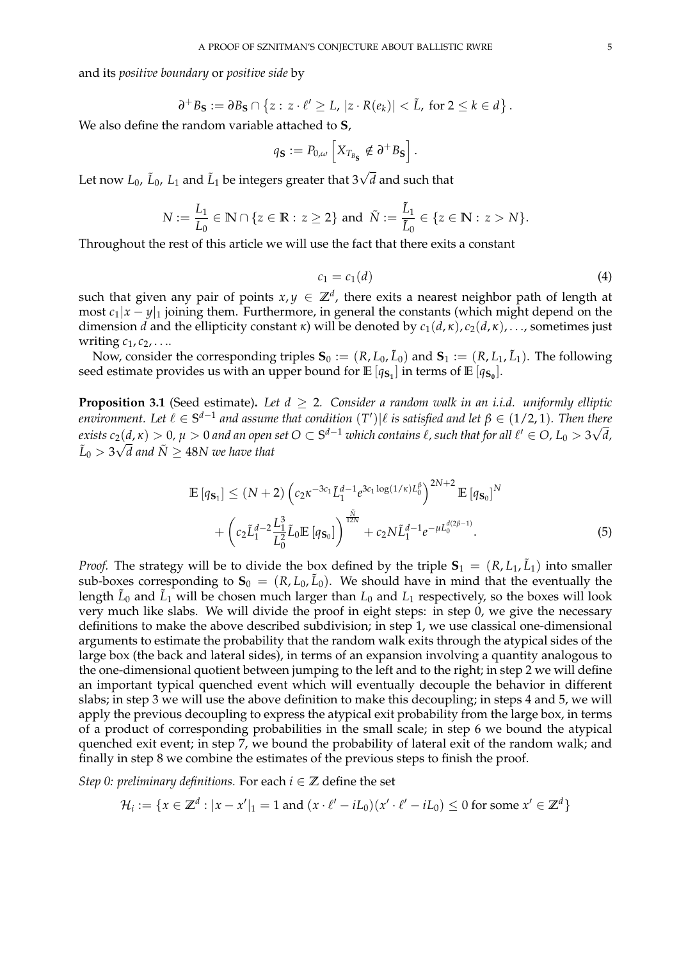and its *positive boundary* or *positive side* by

$$
\partial^+ B_{\mathbf{S}} := \partial B_{\mathbf{S}} \cap \left\{ z : z \cdot \ell' \geq L, \, |z \cdot R(e_k)| < \tilde{L}, \text{ for } 2 \leq k \in d \right\}.
$$

We also define the random variable attached to **S**,

$$
q_{\mathbf{S}} := P_{0,\omega} \left[ X_{T_{B_{\mathbf{S}}}} \notin \partial^+ B_{\mathbf{S}} \right]
$$

.

Let now  $L_0$ ,  $\tilde{L}_0$ ,  $L_1$  and  $\tilde{L}_1$  be integers greater that  $3\sqrt{d}$  and such that

$$
N := \frac{L_1}{L_0} \in \mathbb{N} \cap \{z \in \mathbb{R} : z \ge 2\} \text{ and } \tilde{N} := \frac{\tilde{L}_1}{\tilde{L}_0} \in \{z \in \mathbb{N} : z > N\}.
$$

Throughout the rest of this article we will use the fact that there exits a constant

$$
c_1 = c_1(d) \tag{4}
$$

such that given any pair of points  $x, y \in \mathbb{Z}^d$ , there exits a nearest neighbor path of length at most  $c_1|x-y|_1$  joining them. Furthermore, in general the constants (which might depend on the dimension *d* and the ellipticity constant *κ*) will be denoted by  $c_1(d, \kappa)$ ,  $c_2(d, \kappa)$ , ..., sometimes just writing  $c_1$ ,  $c_2$ , ...

Now, consider the corresponding triples  $\mathbf{S}_0 := (R, L_0, \tilde{L}_0)$  and  $\mathbf{S}_1 := (R, L_1, \tilde{L}_1)$ . The following seed estimate provides us with an upper bound for  $\mathbb{E}\left[q_{\mathbf{S_1}}\right]$  in terms of  $\mathbb{E}\left[q_{\mathbf{S_0}}\right]$ .

**Proposition 3.1** (Seed estimate). Let  $d \geq 2$ . Consider a random walk in an i.i.d. uniformly elliptic *environment.* Let  $\ell \in S^{d-1}$  and assume that condition  $(T')|\ell$  is satisfied and let  $\beta \in (1/2, 1)$ *. Then there*  $\tilde{f}$  *exists c*<sub>2</sub>(*d,*  $\kappa$ )  $>0$ ,  $\mu > 0$  and an open set  $O \subset \mathbb{S}^{d-1}$  which contains  $\ell$ , such that for all  $\ell' \in O$ ,  $L_0 > 3\sqrt{d}$ ,  $\tilde{L}_0 > 3\sqrt{d}$  and  $\tilde{N} \geq 48 N$  we have that

$$
\mathbb{E}\left[q_{\mathbf{S}_{1}}\right] \leq (N+2)\left(c_{2}\kappa^{-3c_{1}}\tilde{L}_{1}^{d-1}e^{3c_{1}\log(1/\kappa)L_{0}^{\beta}}\right)^{2N+2}\mathbb{E}\left[q_{\mathbf{S}_{0}}\right]^{N} + \left(c_{2}\tilde{L}_{1}^{d-2}\frac{L_{1}^{3}}{L_{0}^{2}}\tilde{L}_{0}\mathbb{E}\left[q_{\mathbf{S}_{0}}\right]\right)^{\frac{\tilde{N}}{12N}} + c_{2}N\tilde{L}_{1}^{d-1}e^{-\mu L_{0}^{d(2\beta-1)}}.\tag{5}
$$

*Proof.* The strategy will be to divide the box defined by the triple  $S_1 = (R, L_1, \tilde{L}_1)$  into smaller sub-boxes corresponding to  $\mathbf{S}_0 = (R, L_0, \tilde{L}_0)$ . We should have in mind that the eventually the length  $\tilde{L}_0$  and  $\tilde{L}_1$  will be chosen much larger than  $L_0$  and  $L_1$  respectively, so the boxes will look very much like slabs. We will divide the proof in eight steps: in step 0, we give the necessary definitions to make the above described subdivision; in step 1, we use classical one-dimensional arguments to estimate the probability that the random walk exits through the atypical sides of the large box (the back and lateral sides), in terms of an expansion involving a quantity analogous to the one-dimensional quotient between jumping to the left and to the right; in step 2 we will define an important typical quenched event which will eventually decouple the behavior in different slabs; in step 3 we will use the above definition to make this decoupling; in steps 4 and 5, we will apply the previous decoupling to express the atypical exit probability from the large box, in terms of a product of corresponding probabilities in the small scale; in step 6 we bound the atypical quenched exit event; in step 7, we bound the probability of lateral exit of the random walk; and finally in step 8 we combine the estimates of the previous steps to finish the proof.

*Step 0: preliminary definitions.* For each  $i \in \mathbb{Z}$  define the set

$$
\mathcal{H}_i:=\{x\in\mathbb{Z}^d:|x-x'|_1=1\text{ and }(x\cdot\ell'-iL_0)(x'\cdot\ell'-iL_0)\leq 0\text{ for some }x'\in\mathbb{Z}^d\}
$$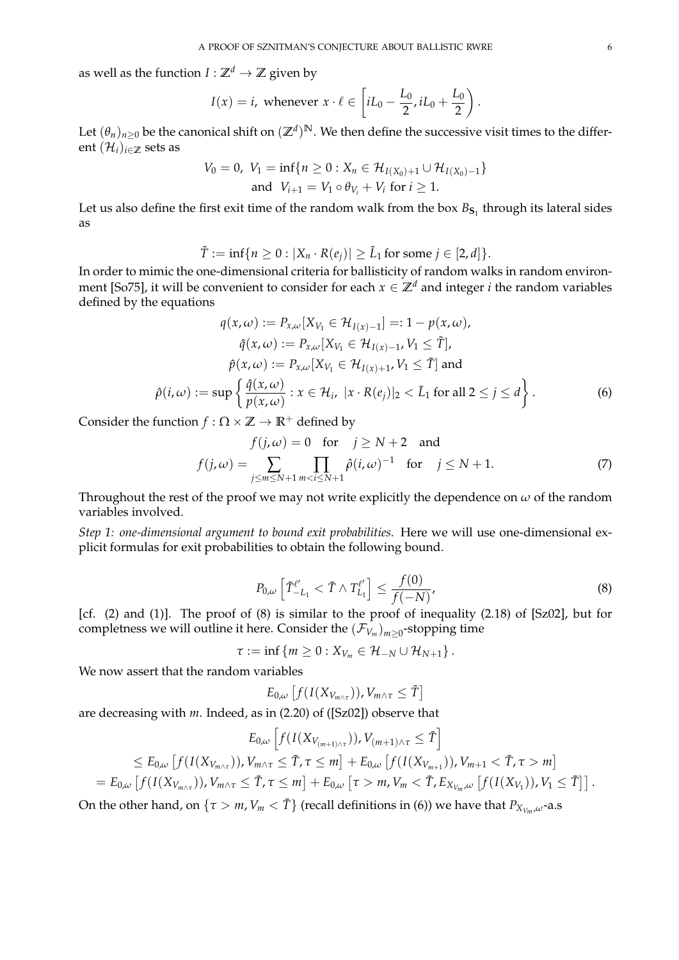as well as the function  $I : \mathbb{Z}^d \to \mathbb{Z}$  given by

$$
I(x) = i, \text{ whenever } x \cdot \ell \in \left[iL_0 - \frac{L_0}{2}, iL_0 + \frac{L_0}{2}\right)
$$

.

Let  $(\theta_n)_{n\geq 0}$  be the canonical shift on  $(\mathbb{Z}^d)^{\mathbb{N}}$ . We then define the successive visit times to the different  $(\mathcal{H}_i)_{i \in \mathbb{Z}}$  sets as

$$
V_0 = 0, V_1 = \inf\{n \ge 0 : X_n \in \mathcal{H}_{I(X_0)+1} \cup \mathcal{H}_{I(X_0)-1}\}
$$
  
and  $V_{i+1} = V_1 \circ \theta_{V_i} + V_i$  for  $i \ge 1$ .

Let us also define the first exit time of the random walk from the box  $B_{\mathbf{S}_1}$  through its lateral sides as

$$
\tilde{T} := \inf \{ n \geq 0 : |X_n \cdot R(e_j)| \geq \tilde{L}_1 \text{ for some } j \in [2, d] \}.
$$

In order to mimic the one-dimensional criteria for ballisticity of random walks in random environment [So75], it will be convenient to consider for each  $x \in \mathbb{Z}^d$  and integer *i* the random variables defined by the equations

$$
q(x,\omega) := P_{x,\omega}[X_{V_1} \in \mathcal{H}_{I(x)-1}] =: 1 - p(x,\omega),
$$

$$
\hat{q}(x,\omega) := P_{x,\omega}[X_{V_1} \in \mathcal{H}_{I(x)-1}, V_1 \leq \tilde{T}],
$$

$$
\hat{p}(x,\omega) := P_{x,\omega}[X_{V_1} \in \mathcal{H}_{I(x)+1}, V_1 \leq \tilde{T}] \text{ and}
$$

$$
\hat{\rho}(i,\omega) := \sup \left\{ \frac{\hat{q}(x,\omega)}{p(x,\omega)} : x \in \mathcal{H}_i, |x \cdot R(e_j)|_2 < \tilde{L}_1 \text{ for all } 2 \leq j \leq d \right\}.
$$

$$
(6)
$$

Consider the function  $f : \Omega \times \mathbb{Z} \to \mathbb{R}^+$  defined by

$$
f(j,\omega) = 0 \quad \text{for} \quad j \ge N+2 \quad \text{and}
$$

$$
f(j,\omega) = \sum_{j \le m \le N+1} \prod_{m < i \le N+1} \hat{\rho}(i,\omega)^{-1} \quad \text{for} \quad j \le N+1. \tag{7}
$$

Throughout the rest of the proof we may not write explicitly the dependence on  $\omega$  of the random variables involved.

*Step 1: one-dimensional argument to bound exit probabilities.* Here we will use one-dimensional explicit formulas for exit probabilities to obtain the following bound.

$$
P_{0,\omega} \left[ \tilde{T}_{-L_1}^{\ell'} < \tilde{T} \wedge T_{L_1}^{\ell'} \right] \le \frac{f(0)}{f(-N)},\tag{8}
$$

[cf. (2) and (1)]. The proof of (8) is similar to the proof of inequality (2.18) of [Sz02], but for completness we will outline it here. Consider the  $(\mathcal{F}_{V_m})_{m\geq 0}$ -stopping time

$$
\tau := \inf \left\{ m \geq 0 : X_{V_m} \in \mathcal{H}_{-N} \cup \mathcal{H}_{N+1} \right\}.
$$

We now assert that the random variables

$$
E_{0,\omega}\left[f(I(X_{V_{m\wedge \tau}})),V_{m\wedge \tau}\leq \tilde{T}\right]
$$

are decreasing with *m*. Indeed, as in (2.20) of ([Sz02]) observe that

$$
E_{0,\omega}\left[f(I(X_{V_{(m+1)\wedge\tau}})),V_{(m+1)\wedge\tau}\leq\tilde{T}\right]
$$
  
\n
$$
\leq E_{0,\omega}\left[f(I(X_{V_{m\wedge\tau}})),V_{m\wedge\tau}\leq\tilde{T},\tau\leq m\right]+E_{0,\omega}\left[f(I(X_{V_{m+1}})),V_{m+1}<\tilde{T},\tau>m\right]
$$
  
\n
$$
=E_{0,\omega}\left[f(I(X_{V_{m\wedge\tau}})),V_{m\wedge\tau}\leq\tilde{T},\tau\leq m\right]+E_{0,\omega}\left[\tau>m,V_m<\tilde{T},E_{X_{V_m},\omega}\left[f(I(X_{V_1})),V_1\leq\tilde{T}\right]\right].
$$

On the other hand, on  $\{\tau > m, V_m < \tilde{T}\}\$  (recall definitions in (6)) we have that  $P_{X_{V_m},\omega}$ -a.s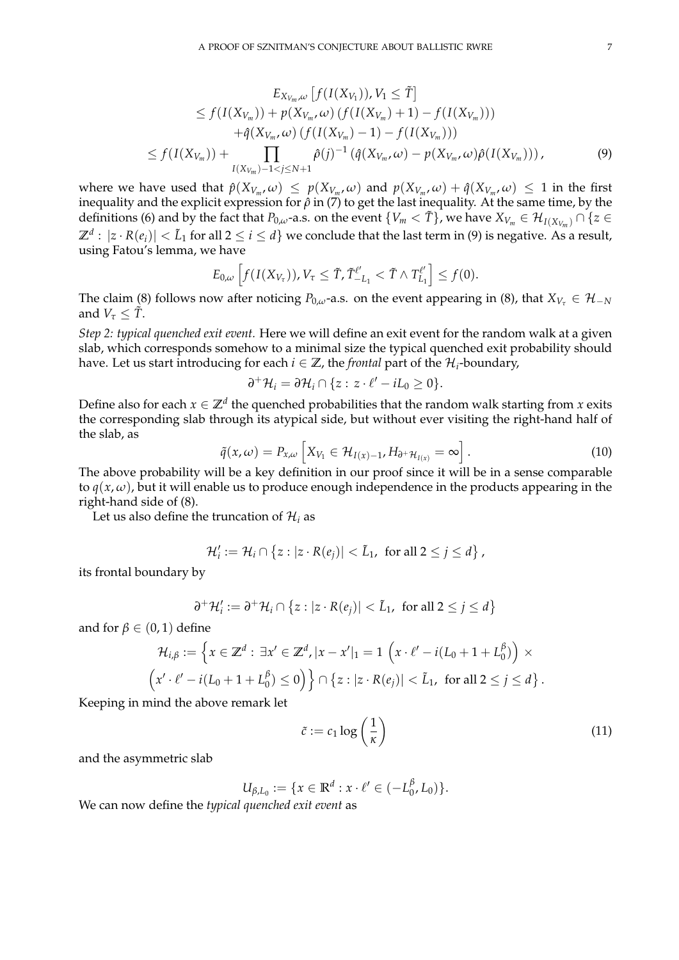$$
E_{X_{V_m},\omega}[f(I(X_{V_1})), V_1 \leq \tilde{T}]
$$
  
\n
$$
\leq f(I(X_{V_m})) + p(X_{V_m}, \omega) (f(I(X_{V_m}) + 1) - f(I(X_{V_m})))
$$
  
\n
$$
+ \hat{q}(X_{V_m}, \omega) (f(I(X_{V_m}) - 1) - f(I(X_{V_m})))
$$
  
\n
$$
\leq f(I(X_{V_m})) + \prod_{I(X_{V_m}) - 1 < j \leq N + 1} \hat{\rho}(j)^{-1} (\hat{q}(X_{V_m}, \omega) - p(X_{V_m}, \omega) \hat{\rho}(I(X_{V_m}))),
$$
\n(9)

where we have used that  $\hat{p}(X_{V_m},\omega) \le p(X_{V_m},\omega)$  and  $p(X_{V_m},\omega) + \hat{q}(X_{V_m},\omega) \le 1$  in the first inequality and the explicit expression for  $\hat{\rho}$  in (7) to get the last inequality. At the same time, by the definitions (6) and by the fact that  $P_{0,\omega}$ -a.s. on the event  $\{V_m < \tilde{T}\}\$ , we have  $X_{V_m} \in \mathcal{H}_{I(X_{V_m})} \cap \{z \in$  $\Z^d:|z\cdot R(e_i)|<\tilde{L}_1$  for all  $2\leq i\leq d\}$  we conclude that the last term in (9) is negative. As a result, using Fatou's lemma, we have

$$
E_{0,\omega}\left[f(I(X_{V_{\tau}})),V_{\tau}\leq \tilde{T},\tilde{T}_{-L_1}^{\ell'}<\tilde{T}\wedge T_{L_1}^{\ell'}\right]\leq f(0).
$$

The claim (8) follows now after noticing  $P_{0,\omega}$ -a.s. on the event appearing in (8), that  $X_{V_{\tau}} \in \mathcal{H}_{-N}$ and  $V_\tau \leq \tilde{T}$ .

*Step 2: typical quenched exit event.* Here we will define an exit event for the random walk at a given slab, which corresponds somehow to a minimal size the typical quenched exit probability should have. Let us start introducing for each  $i \in \mathbb{Z}$ , the *frontal* part of the  $\mathcal{H}_i$ -boundary,

$$
\partial^+ \mathcal{H}_i = \partial \mathcal{H}_i \cap \{z : z \cdot \ell' - iL_0 \geq 0\}.
$$

Define also for each  $x \in \mathbb{Z}^d$  the quenched probabilities that the random walk starting from  $x$  exits the corresponding slab through its atypical side, but without ever visiting the right-hand half of the slab, as

$$
\tilde{q}(x,\omega) = P_{x,\omega} \left[ X_{V_1} \in \mathcal{H}_{I(x)-1}, H_{\partial^+ \mathcal{H}_{I(x)}} = \infty \right]. \tag{10}
$$

The above probability will be a key definition in our proof since it will be in a sense comparable to  $q(x, \omega)$ , but it will enable us to produce enough independence in the products appearing in the right-hand side of (8).

Let us also define the truncation of  $\mathcal{H}_i$  as

$$
\mathcal{H}'_i := \mathcal{H}_i \cap \{z : |z \cdot R(e_j)| < \tilde{L}_1, \text{ for all } 2 \leq j \leq d\},
$$

its frontal boundary by

$$
\partial^+ \mathcal{H}'_i := \partial^+ \mathcal{H}_i \cap \{z : |z \cdot R(e_j)| < \tilde{L}_1, \text{ for all } 2 \leq j \leq d\}
$$

and for  $\beta \in (0,1)$  define

$$
\mathcal{H}_{i,\beta} := \left\{ x \in \mathbb{Z}^d : \exists x' \in \mathbb{Z}^d, |x - x'|_1 = 1 \left( x \cdot \ell' - i(L_0 + 1 + L_0^{\beta}) \right) \times \left( x' \cdot \ell' - i(L_0 + 1 + L_0^{\beta}) \le 0 \right) \right\} \cap \left\{ z : |z \cdot R(e_j)| < \tilde{L}_1, \text{ for all } 2 \le j \le d \right\}.
$$

Keeping in mind the above remark let

$$
\tilde{c} := c_1 \log \left( \frac{1}{\kappa} \right) \tag{11}
$$

and the asymmetric slab

$$
U_{\beta,L_0} := \{ x \in \mathbb{R}^d : x \cdot \ell' \in (-L_0^{\beta}, L_0) \}.
$$

We can now define the *typical quenched exit event* as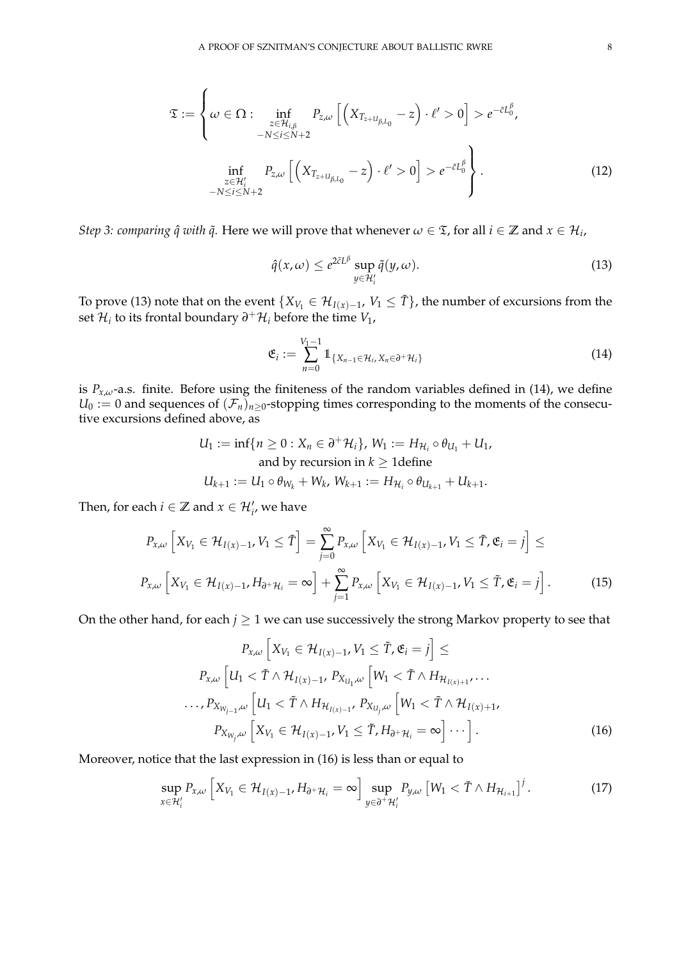$$
\mathfrak{T} := \left\{ \omega \in \Omega : \inf_{\substack{z \in \mathcal{H}_{i,\beta} \\ -N \le i \le N+2}} P_{z,\omega} \left[ \left( X_{T_{z+U_{\beta,L_0}}} - z \right) \cdot \ell' > 0 \right] > e^{-\tilde{c}L_0^{\beta}}, \right\}
$$
\n
$$
\inf_{\substack{z \in \mathcal{H}'_i \\ -N \le i \le N+2}} P_{z,\omega} \left[ \left( X_{T_{z+U_{\beta,L_0}}} - z \right) \cdot \ell' > 0 \right] > e^{-\tilde{c}L_0^{\beta}} \right\}.
$$
\n(12)

*Step 3: comparing*  $\hat{q}$  *with*  $\tilde{q}$ *. Here we will prove that whenever*  $\omega \in \mathfrak{T}$ *, for all*  $i \in \mathbb{Z}$  *and*  $x \in \mathcal{H}_i$ *,* 

$$
\hat{q}(x,\omega) \le e^{2\tilde{c}L^{\beta}} \sup_{y \in \mathcal{H}'_i} \tilde{q}(y,\omega).
$$
\n(13)

To prove (13) note that on the event  $\{X_{V_1}\in \mathcal H_{I(x)-1},\, V_1\le \tilde T\}$ , the number of excursions from the set  $\mathcal{H}_i$  to its frontal boundary  $\partial^+ \mathcal{H}_i$  before the time  $V_1$ ,

$$
\mathfrak{E}_i := \sum_{n=0}^{V_1-1} 1\!\!1_{\{X_{n-1}\in\mathcal{H}_i, X_n\in\partial^+\mathcal{H}_i\}}\tag{14}
$$

is  $P_{x,\omega}$ -a.s. finite. Before using the finiteness of the random variables defined in (14), we define  $U_0 := 0$  and sequences of  $(\mathcal{F}_n)_{n \geq 0}$ -stopping times corresponding to the moments of the consecutive excursions defined above, as

$$
U_1 := \inf\{n \ge 0 : X_n \in \partial^+ \mathcal{H}_i\}, W_1 := H_{\mathcal{H}_i} \circ \theta_{U_1} + U_1,
$$
  
and by recursion in  $k \ge 1$  define  

$$
U_{k+1} := U_1 \circ \theta_{W_k} + W_k, W_{k+1} := H_{\mathcal{H}_i} \circ \theta_{U_{k+1}} + U_{k+1}.
$$

Then, for each  $i \in \mathbb{Z}$  and  $x \in \mathcal{H}'_i$ , we have

$$
P_{x,\omega}\left[X_{V_1} \in \mathcal{H}_{I(x)-1}, V_1 \leq \tilde{T}\right] = \sum_{j=0}^{\infty} P_{x,\omega}\left[X_{V_1} \in \mathcal{H}_{I(x)-1}, V_1 \leq \tilde{T}, \mathfrak{E}_i = j\right] \le
$$
  

$$
P_{x,\omega}\left[X_{V_1} \in \mathcal{H}_{I(x)-1}, H_{\partial^+ \mathcal{H}_i} = \infty\right] + \sum_{j=1}^{\infty} P_{x,\omega}\left[X_{V_1} \in \mathcal{H}_{I(x)-1}, V_1 \leq \tilde{T}, \mathfrak{E}_i = j\right].
$$
 (15)

On the other hand, for each  $j \geq 1$  we can use successively the strong Markov property to see that

$$
P_{x,\omega} \left[ X_{V_1} \in \mathcal{H}_{I(x)-1}, V_1 \leq \tilde{T}, \mathfrak{E}_i = j \right] \leq
$$
  
\n
$$
P_{x,\omega} \left[ U_1 < \tilde{T} \wedge \mathcal{H}_{I(x)-1}, P_{X_{U_1},\omega} \left[ W_1 < \tilde{T} \wedge H_{\mathcal{H}_{I(x)+1}}, \dots \right] \right]
$$
  
\n
$$
\dots, P_{X_{W_{j-1}},\omega} \left[ U_1 < \tilde{T} \wedge H_{\mathcal{H}_{I(x)-1}}, P_{X_{U_j},\omega} \left[ W_1 < \tilde{T} \wedge \mathcal{H}_{I(x)+1}, \dots \right] \right]
$$
  
\n
$$
P_{X_{W_j},\omega} \left[ X_{V_1} \in \mathcal{H}_{I(x)-1}, V_1 \leq \tilde{T}, H_{\partial^+ \mathcal{H}_i} = \infty \right] \cdots \right].
$$
\n(16)

Moreover, notice that the last expression in (16) is less than or equal to

$$
\sup_{x \in \mathcal{H}'_i} P_{x,\omega} \left[ X_{V_1} \in \mathcal{H}_{I(x)-1}, H_{\partial^+ \mathcal{H}_i} = \infty \right] \sup_{y \in \partial^+ \mathcal{H}'_i} P_{y,\omega} \left[ W_1 < \tilde{T} \wedge H_{\mathcal{H}_{i+1}} \right]^j. \tag{17}
$$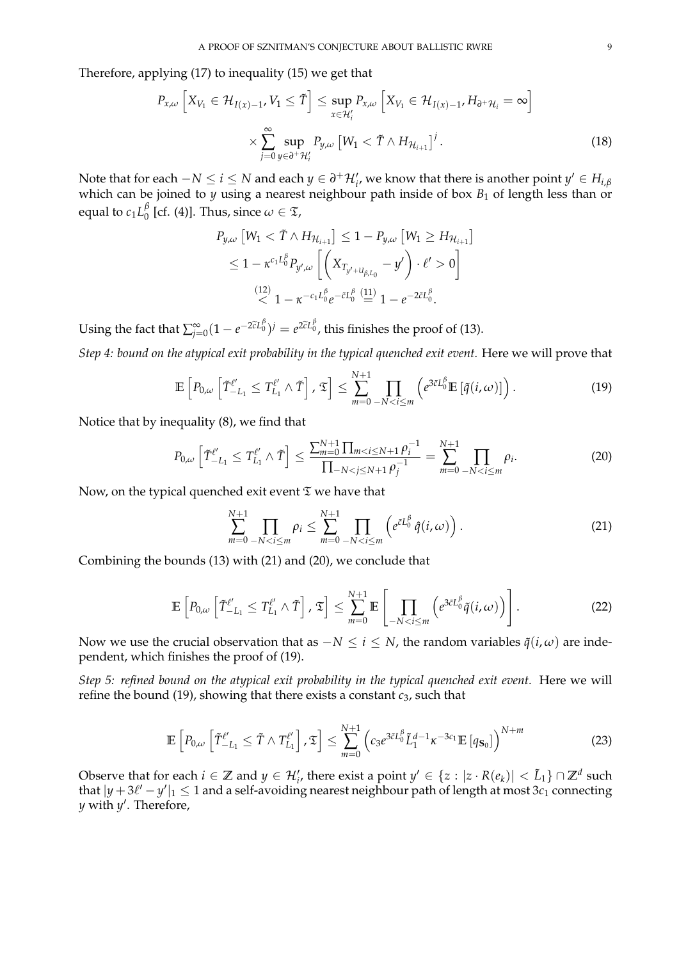Therefore, applying (17) to inequality (15) we get that

$$
P_{x,\omega}\left[X_{V_1} \in \mathcal{H}_{I(x)-1}, V_1 \leq \tilde{T}\right] \leq \sup_{x \in \mathcal{H}'_i} P_{x,\omega}\left[X_{V_1} \in \mathcal{H}_{I(x)-1}, H_{\partial^+ \mathcal{H}_i} = \infty\right]
$$

$$
\times \sum_{j=0}^{\infty} \sup_{y \in \partial^+ \mathcal{H}'_i} P_{y,\omega}\left[W_1 < \tilde{T} \wedge H_{\mathcal{H}_{i+1}}\right]^j. \tag{18}
$$

Note that for each  $-N \leq i \leq N$  and each  $y \in \partial^+ \mathcal{H}'_i$ , we know that there is another point  $y' \in H_{i,\beta}$ which can be joined to  $\gamma$  using a nearest neighbour path inside of box  $B_1$  of length less than or equal to  $c_1 L_0^\beta$  $\int_{0}^{p}$  [cf. (4)]. Thus, since  $\omega \in \mathfrak{T}$ ,

$$
P_{y,\omega} \left[ W_1 < \tilde{T} \wedge H_{\mathcal{H}_{i+1}} \right] \leq 1 - P_{y,\omega} \left[ W_1 \geq H_{\mathcal{H}_{i+1}} \right]
$$
\n
$$
\leq 1 - \kappa^{c_1 L_0^{\beta}} P_{y',\omega} \left[ \left( X_{T_{y'+L_{\beta,L_0}}} - y' \right) \cdot \ell' > 0 \right]
$$
\n
$$
\stackrel{(12)}{\leq} 1 - \kappa^{-c_1 L_0^{\beta}} e^{-\tilde{c} L_0^{\beta}} \stackrel{(11)}{=} 1 - e^{-2\tilde{c} L_0^{\beta}}.
$$

Using the fact that  $\sum_{j=0}^{\infty} (1 - e^{-2\tilde{c}L_0^{\beta}})^j = e^{2\tilde{c}L_0^{\beta}}$ , this finishes the proof of (13).

*Step 4: bound on the atypical exit probability in the typical quenched exit event.* Here we will prove that

$$
\mathbb{E}\left[P_{0,\omega}\left[\tilde{T}_{-L_1}^{\ell'}\leq T_{L_1}^{\ell'}\wedge\tilde{T}\right],\mathfrak{T}\right]\leq \sum_{m=0}^{N+1}\prod_{-N\n(19)
$$

Notice that by inequality (8), we find that

$$
P_{0,\omega}\left[\tilde{T}_{-L_1}^{\ell'} \le T_{L_1}^{\ell'} \wedge \tilde{T}\right] \le \frac{\sum_{m=0}^{N+1} \prod_{m < i \le N+1} \rho_i^{-1}}{\prod_{-N < j \le N+1} \rho_j^{-1}} = \sum_{m=0}^{N+1} \prod_{-N < i \le m} \rho_i. \tag{20}
$$

Now, on the typical quenched exit event  $\mathfrak T$  we have that

$$
\sum_{m=0}^{N+1} \prod_{-N < i \le m} \rho_i \le \sum_{m=0}^{N+1} \prod_{-N < i \le m} \left( e^{\tilde{c}L_0^{\beta}} \hat{q}(i,\omega) \right). \tag{21}
$$

Combining the bounds (13) with (21) and (20), we conclude that

$$
\mathbb{E}\left[P_{0,\omega}\left[\tilde{T}_{-L_1}^{\ell'}\leq T_{L_1}^{\ell'}\wedge\tilde{T}\right],\mathfrak{T}\right]\leq \sum_{m=0}^{N+1}\mathbb{E}\left[\prod_{-N
$$

Now we use the crucial observation that as  $-N \le i \le N$ , the random variables  $\tilde{q}(i, \omega)$  are independent, which finishes the proof of (19).

*Step 5: refined bound on the atypical exit probability in the typical quenched exit event.* Here we will refine the bound (19), showing that there exists a constant *c*3, such that

$$
\mathbb{E}\left[P_{0,\omega}\left[\tilde{T}_{-L_1}^{\ell'}\leq \tilde{T}\wedge T_{L_1}^{\ell'}\right],\mathfrak{T}\right]\leq \sum_{m=0}^{N+1}\left(c_3e^{3\tilde{c}L_0^{\beta}}\tilde{L}_1^{d-1}\kappa^{-3c_1}\mathbb{E}\left[q_{\mathbf{S}_0}\right]\right)^{N+m}\tag{23}
$$

Observe that for each  $i \in \mathbb{Z}$  and  $y \in \mathcal{H}'_i$ , there exist a point  $y' \in \{z : |z \cdot R(e_k)| < \tilde{L}_1\} \cap \mathbb{Z}^d$  such that  $|y + 3\ell' - y'|_1 \le 1$  and a self-avoiding nearest neighbour path of length at most  $3c_1$  connecting *y* with *y* 0 . Therefore,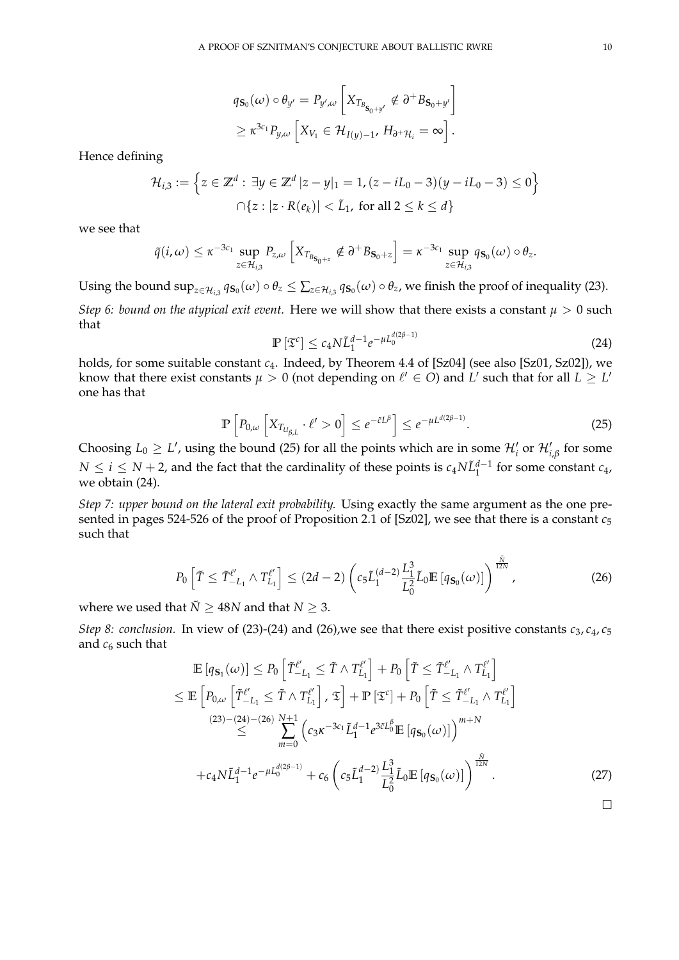$$
q_{\mathbf{S}_0}(\omega) \circ \theta_{y'} = P_{y',\omega} \left[ X_{T_{B_{\mathbf{S}_0+y'}}} \notin \partial^+ B_{\mathbf{S}_0+y'} \right]
$$
  

$$
\geq \kappa^{3c_1} P_{y,\omega} \left[ X_{V_1} \in \mathcal{H}_{I(y)-1}, H_{\partial^+ \mathcal{H}_i} = \infty \right].
$$

Hence defining

$$
\mathcal{H}_{i,3} := \left\{ z \in \mathbb{Z}^d : \exists y \in \mathbb{Z}^d \, |z - y|_1 = 1, (z - iL_0 - 3)(y - iL_0 - 3) \le 0 \right\}
$$
\n
$$
\bigcap \{ z : |z \cdot R(e_k)| < \tilde{L}_1, \text{ for all } 2 \le k \le d \}
$$

we see that

$$
\tilde{q}(i,\omega) \leq \kappa^{-3c_1} \sup_{z \in \mathcal{H}_{i,3}} P_{z,\omega} \left[ X_{T_{B_{\mathbf{S}_0+z}}} \notin \partial^+ B_{\mathbf{S}_0+z} \right] = \kappa^{-3c_1} \sup_{z \in \mathcal{H}_{i,3}} q_{\mathbf{S}_0}(\omega) \circ \theta_z.
$$

Using the bound  $\sup_{z\in\mathcal{H}_{i,3}}q_{\mathbf{S}_0}(\omega)\circ\theta_z\leq\sum_{z\in\mathcal{H}_{i,3}}q_{\mathbf{S}_0}(\omega)\circ\theta_z$ , we finish the proof of inequality (23). *Step 6: bound on the atypical exit event.* Here we will show that there exists a constant  $\mu > 0$  such that

$$
\mathbb{P}\left[\mathfrak{T}^c\right] \le c_4 N \tilde{L}_1^{d-1} e^{-\mu L_0^{d(2\beta-1)}}
$$
\n(24)

holds, for some suitable constant *c*4. Indeed, by Theorem 4.4 of [Sz04] (see also [Sz01, Sz02]), we know that there exist constants  $\mu > 0$  (not depending on  $\ell' \in O$ ) and  $L'$  such that for all  $L \geq L'$ one has that

$$
\mathbb{P}\left[P_{0,\omega}\left[X_{T_{U_{\beta,L}}} \cdot \ell' > 0\right] \le e^{-\tilde{c}L^{\beta}}\right] \le e^{-\mu L^{d(2\beta-1)}}.\tag{25}
$$

Choosing  $L_0 \geq L'$ , using the bound (25) for all the points which are in some  $\mathcal{H}'_i$  or  $\mathcal{H}'_{i,\beta}$  for some *N* ≤ *i* ≤ *N* + 2, and the fact that the cardinality of these points is  $c_4N\tilde{L}_1^{d-1}$  for some constant  $c_4$ , we obtain (24).

*Step 7: upper bound on the lateral exit probability.* Using exactly the same argument as the one presented in pages 524-526 of the proof of Proposition 2.1 of [Sz02], we see that there is a constant *c*<sup>5</sup> such that

$$
P_0\left[\tilde{T}\leq \tilde{T}_{-L_1}^{\ell'}\wedge T_{L_1}^{\ell'}\right]\leq (2d-2)\left(c_5\tilde{L}_1^{(d-2)}\frac{L_1^3}{L_0^2}\tilde{L}_0\mathbb{E}\left[q_{\mathbf{S}_0}(\omega)\right]\right)^{\frac{\tilde{N}}{12N}},\tag{26}
$$

where we used that  $\tilde{N}$  > 48*N* and that  $N$  > 3.

*Step 8: conclusion.* In view of (23)-(24) and (26), we see that there exist positive constants  $c_3$ ,  $c_4$ ,  $c_5$ and *c*<sup>6</sup> such that

$$
\mathbb{E}\left[q_{\mathbf{S}_{1}}(\omega)\right] \leq P_{0}\left[\tilde{T}_{-L_{1}}^{\ell'} \leq \tilde{T} \wedge T_{L_{1}}^{\ell'}\right] + P_{0}\left[\tilde{T} \leq \tilde{T}_{-L_{1}}^{\ell'} \wedge T_{L_{1}}^{\ell'}\right] \n\leq \mathbb{E}\left[P_{0,\omega}\left[\tilde{T}_{-L_{1}}^{\ell'} \leq \tilde{T} \wedge T_{L_{1}}^{\ell'}\right], \mathfrak{T}\right] + \mathbb{P}\left[\mathfrak{T}^{c}\right] + P_{0}\left[\tilde{T} \leq \tilde{T}_{-L_{1}}^{\ell'} \wedge T_{L_{1}}^{\ell'}\right] \n\stackrel{(23)-(24)-(26)}{\leq} \sum_{m=0}^{N+1} \left(c_{3}\kappa^{-3c_{1}}\tilde{L}_{1}^{d-1}e^{3\tilde{c}L_{0}^{\beta}}\mathbb{E}\left[q_{\mathbf{S}_{0}}(\omega)\right]\right)^{m+N} \n+c_{4}N\tilde{L}_{1}^{d-1}e^{-\mu L_{0}^{d(2\beta-1)}} + c_{6}\left(c_{5}\tilde{L}_{1}^{d-2}\right)\frac{L_{1}^{3}}{L_{0}^{2}}\tilde{L}_{0}\mathbb{E}\left[q_{\mathbf{S}_{0}}(\omega)\right]\right)^{\frac{\tilde{N}}{12N}}.
$$
\n(27)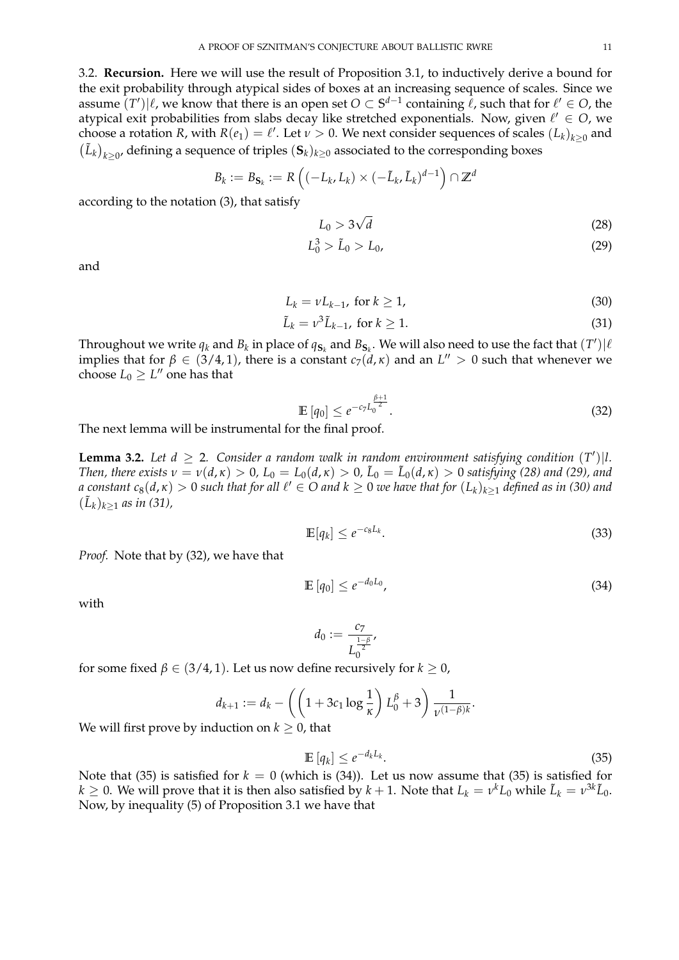3.2. **Recursion.** Here we will use the result of Proposition 3.1, to inductively derive a bound for the exit probability through atypical sides of boxes at an increasing sequence of scales. Since we assume  $(T')|\ell$ , we know that there is an open set  $O \subset S^{d-1}$  containing  $\ell$ , such that for  $\ell' \in O$ , the atypical exit probabilities from slabs decay like stretched exponentials. Now, given  $\ell' \in O$ , we choose a rotation *R*, with  $R(e_1) = \ell'$ . Let  $\nu > 0$ . We next consider sequences of scales  $(L_k)_{k \geq 0}$  and  $(L_k)_{k \geq 0}$ , defining a sequence of triples  $(\mathbf{S}_k)_{k \geq 0}$  associated to the corresponding boxes

$$
B_k := B_{\mathbf{S}_k} := R\left((-L_k, L_k) \times (-\tilde{L}_k, \tilde{L}_k)^{d-1}\right) \cap \mathbb{Z}^d
$$

according to the notation (3), that satisfy

$$
L_0 > 3\sqrt{d} \tag{28}
$$

$$
L_0^3 > \tilde{L}_0 > L_0,\tag{29}
$$

and

$$
L_k = vL_{k-1}, \text{ for } k \ge 1,
$$
\n
$$
(30)
$$

$$
\tilde{L}_k = \nu^3 \tilde{L}_{k-1}, \text{ for } k \ge 1. \tag{31}
$$

Throughout we write  $q_k$  and  $B_k$  in place of  $q_{S_k}$  and  $B_{S_k}$ . We will also need to use the fact that  $(T')|\ell$ implies that for  $\beta \in (3/4, 1)$ , there is a constant  $c_7(\mathring{d}, \mathcal{k})$  and an  $L'' > 0$  such that whenever we choose  $L_0 \geq L''$  one has that

$$
\mathbb{E}\left[q_0\right] \leq e^{-c_7 L_0^{\frac{\beta+1}{2}}}.\tag{32}
$$

The next lemma will be instrumental for the final proof.

**Lemma 3.2.** Let  $d \geq 2$ . Consider a random walk in random environment satisfying condition  $(T')$ |l. *Then, there exists*  $v = v(d, \kappa) > 0$ ,  $L_0 = L_0(d, \kappa) > 0$ ,  $\tilde{L}_0 = \tilde{L}_0(d, \kappa) > 0$  satisfying (28) and (29), and  $a$  constant  $c_8(d,\kappa)>0$  such that for all  $\ell'\in O$  and  $k\geq 0$  we have that for  $(L_k)_{k\geq 1}$  defined as in (30) and  $(\tilde{L}_k)_{k \geq 1}$  as in (31),

$$
\mathbb{E}[q_k] \le e^{-c_8 L_k}.\tag{33}
$$

*Proof.* Note that by (32), we have that

$$
\mathbb{E}\left[q_0\right] \le e^{-d_0 L_0},\tag{34}
$$

with

$$
d_0 := \frac{c_7}{L_0^{\frac{1-\beta}{2}}},
$$

for some fixed  $\beta \in (3/4, 1)$ . Let us now define recursively for  $k \ge 0$ ,

$$
d_{k+1} := d_k - \left( \left( 1 + 3c_1 \log \frac{1}{\kappa} \right) L_0^{\beta} + 3 \right) \frac{1}{\nu^{(1-\beta)k}}.
$$

We will first prove by induction on  $k \geq 0$ , that

$$
\mathbb{E}\left[q_k\right] \leq e^{-d_k L_k}.\tag{35}
$$

Note that (35) is satisfied for  $k = 0$  (which is (34)). Let us now assume that (35) is satisfied for  $k \geq 0$ . We will prove that it is then also satisfied by  $k+1$ . Note that  $L_k = v^k L_0$  while  $\tilde{L}_k = v^{3k} \tilde{L}_0$ . Now, by inequality (5) of Proposition 3.1 we have that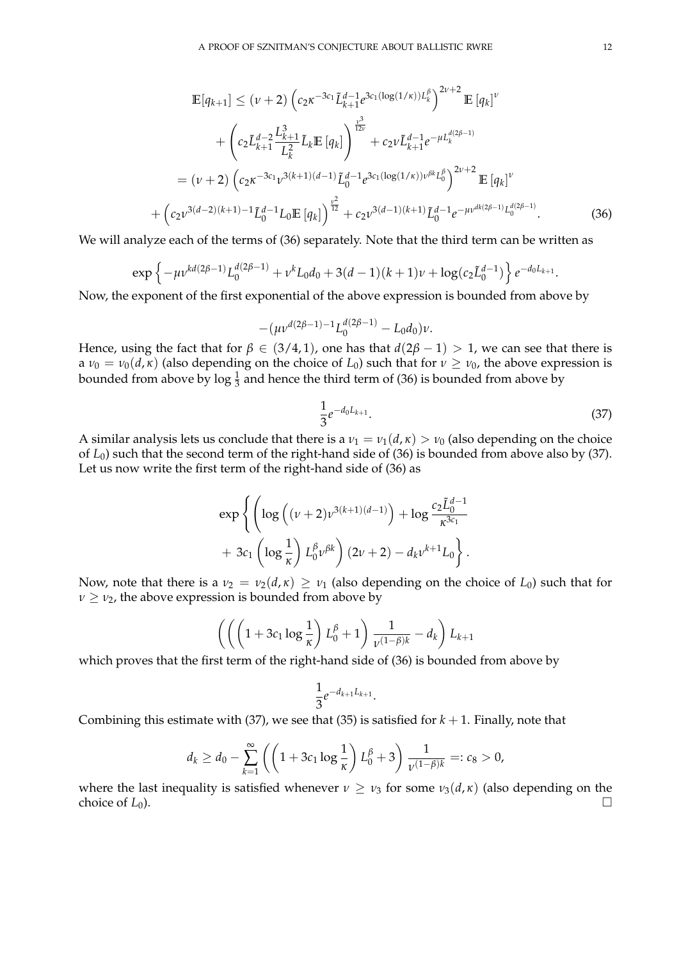$$
\mathbb{E}[q_{k+1}] \leq (\nu+2) \left(c_{2}\kappa^{-3c_{1}}\tilde{L}_{k+1}^{d-1}e^{3c_{1}(\log(1/\kappa))L_{k}^{\beta}}\right)^{2\nu+2} \mathbb{E}[q_{k}]^{\nu} \n+ \left(c_{2}\tilde{L}_{k+1}^{d-2}\frac{L_{k+1}^{3}}{L_{k}^{2}}\tilde{L}_{k}\mathbb{E}[q_{k}]\right)^{\frac{\nu^{3}}{12\nu}} + c_{2}\nu\tilde{L}_{k+1}^{d-1}e^{-\mu L_{k}^{d(2\beta-1)}} \n= (\nu+2) \left(c_{2}\kappa^{-3c_{1}}\nu^{3(k+1)(d-1)}\tilde{L}_{0}^{d-1}e^{3c_{1}(\log(1/\kappa))\nu^{\beta k}L_{0}^{\beta}}\right)^{2\nu+2} \mathbb{E}[q_{k}]^{\nu} \n+ \left(c_{2}\nu^{3(d-2)(k+1)-1}\tilde{L}_{0}^{d-1}L_{0}\mathbb{E}[q_{k}]\right)^{\frac{\nu^{2}}{12}} + c_{2}\nu^{3(d-1)(k+1)}\tilde{L}_{0}^{d-1}e^{-\mu\nu^{dk(2\beta-1)}L_{0}^{d(2\beta-1)}}.
$$
\n(36)

We will analyze each of the terms of (36) separately. Note that the third term can be written as

$$
\exp\left\{-\mu\nu^{kd(2\beta-1)}L_0^{d(2\beta-1)} + \nu^k L_0 d_0 + 3(d-1)(k+1)\nu + \log(c_2 \tilde{L}_0^{d-1})\right\}e^{-d_0L_{k+1}}.
$$

Now, the exponent of the first exponential of the above expression is bounded from above by

$$
-(\mu\nu^{d(2\beta-1)-1}L_0^{d(2\beta-1)}-L_0d_0)\nu.
$$

Hence, using the fact that for  $\beta \in (3/4, 1)$ , one has that  $d(2\beta - 1) > 1$ , we can see that there is a  $\nu_0 = \nu_0(d, \kappa)$  (also depending on the choice of  $L_0$ ) such that for  $\nu \geq \nu_0$ , the above expression is bounded from above by  $\log \frac{1}{3}$  and hence the third term of (36) is bounded from above by

$$
\frac{1}{3}e^{-d_0L_{k+1}}.\t(37)
$$

A similar analysis lets us conclude that there is a  $v_1 = v_1(d,\kappa) > v_0$  (also depending on the choice of *L*0) such that the second term of the right-hand side of (36) is bounded from above also by (37). Let us now write the first term of the right-hand side of (36) as

$$
\exp\left\{\left(\log\left((\nu+2)\nu^{3(k+1)(d-1)}\right)+\log\frac{c_2\tilde{L}_0^{d-1}}{\kappa^{3c_1}}\right.\\+\left.3c_1\left(\log\frac{1}{\kappa}\right)L_0^{\beta}\nu^{\beta k}\right)(2\nu+2)-d_k\nu^{k+1}L_0\right\}.
$$

Now, note that there is a  $\nu_2 = \nu_2(d,\kappa) \geq \nu_1$  (also depending on the choice of  $L_0$ ) such that for  $\nu \geq \nu_2$ , the above expression is bounded from above by

$$
\left(\left(\left(1+3c_1\log\frac{1}{\kappa}\right)L_0^{\beta}+1\right)\frac{1}{\nu^{(1-\beta)k}}-d_k\right)L_{k+1}
$$

which proves that the first term of the right-hand side of (36) is bounded from above by

$$
\frac{1}{3}e^{-d_{k+1}L_{k+1}}.
$$

Combining this estimate with (37), we see that (35) is satisfied for  $k + 1$ . Finally, note that

$$
d_k \ge d_0 - \sum_{k=1}^{\infty} \left( \left( 1 + 3c_1 \log \frac{1}{\kappa} \right) L_0^{\beta} + 3 \right) \frac{1}{\nu^{(1-\beta)k}} =: c_8 > 0,
$$

where the last inequality is satisfied whenever  $\nu \geq \nu_3$  for some  $\nu_3(d,\kappa)$  (also depending on the choice of  $L_0$ ).